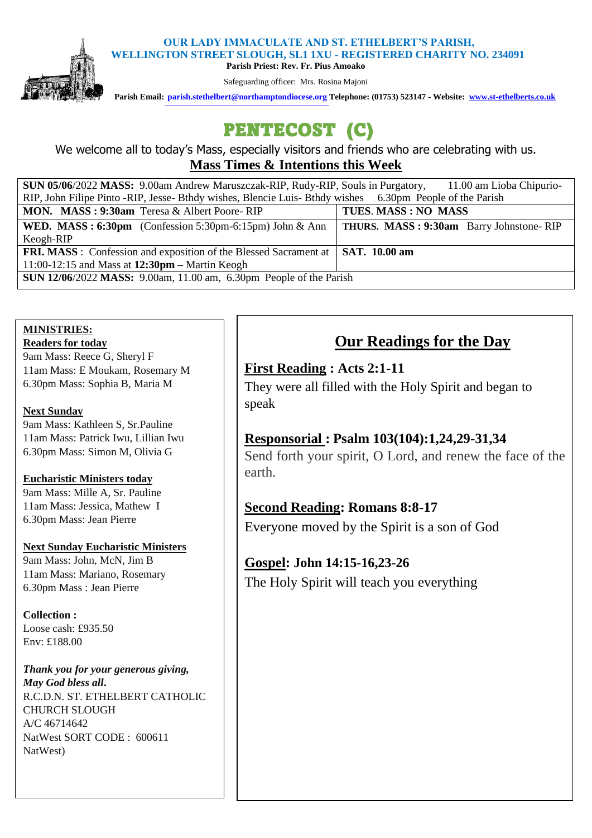#### **OUR LADY IMMACULATE AND ST. ETHELBERT'S PARISH, WELLINGTON STREET SLOUGH, SL1 1XU - REGISTERED CHARITY NO. 234091**



**Parish Priest: Rev. Fr. Pius Amoako** 

Safeguarding officer: Mrs. Rosina Majoni

 **Parish Email: [parish.stethelbert@northamptondiocese.org](about:blank) Telephone: (01753) 523147 - Website: [www.st-ethelberts.co.uk](about:blank)**

# PENTECOST (C)

We welcome all to today's Mass, especially visitors and friends who are celebrating with us. **Mass Times & Intentions this Week** 

| SUN 05/06/2022 MASS: 9.00am Andrew Maruszczak-RIP, Rudy-RIP, Souls in Purgatory,<br>11.00 am Lioba Chipurio- |                                         |
|--------------------------------------------------------------------------------------------------------------|-----------------------------------------|
| RIP, John Filipe Pinto -RIP, Jesse-Bthdy wishes, Blencie Luis-Bthdy wishes 6.30pm People of the Parish       |                                         |
| MON. MASS: 9:30am Teresa & Albert Poore-RIP                                                                  | TUES. MASS: NO MASS                     |
| <b>WED.</b> MASS: $6:30 \text{pm}$ (Confession 5:30pm-6:15pm) John & Ann                                     | THURS. MASS: 9:30am Barry Johnstone-RIP |
| Keogh-RIP                                                                                                    |                                         |
| <b>FRI. MASS:</b> Confession and exposition of the Blessed Sacrament at                                      | $\vert$ SAT. 10.00 am                   |
| 11:00-12:15 and Mass at $12:30 \text{pm}$ – Martin Keogh                                                     |                                         |
| <b>SUN 12/06/2022 MASS:</b> 9.00am, 11.00 am, 6.30pm People of the Parish                                    |                                         |

# **MINISTRIES:**

**Readers for today** 

9am Mass: Reece G, Sheryl F 11am Mass: E Moukam, Rosemary M 6.30pm Mass: Sophia B, Maria M

### **Next Sunday**

9am Mass: Kathleen S, Sr.Pauline 11am Mass: Patrick Iwu, Lillian Iwu 6.30pm Mass: Simon M, Olivia G

### **Eucharistic Ministers today**

9am Mass: Mille A, Sr. Pauline 11am Mass: Jessica, Mathew I 6.30pm Mass: Jean Pierre

### **Next Sunday Eucharistic Ministers**

9am Mass: John, McN, Jim B 11am Mass: Mariano, Rosemary 6.30pm Mass : Jean Pierre

**Collection :**  Loose cash: £935.50 Env: £188.00

*Thank you for your generous giving, May God bless all***.**  R.C.D.N. ST. ETHELBERT CATHOLIC CHURCH SLOUGH A/C 46714642 NatWest SORT CODE : 600611 NatWest)

# **Our Readings for the Day**

### **First Reading : Acts 2:1-11**

They were all filled with the Holy Spirit and began to speak

# **Responsorial : Psalm 103(104):1,24,29-31,34**

Send forth your spirit, O Lord, and renew the face of the earth.

# **Second Reading: Romans 8:8-17**

Everyone moved by the Spirit is a son of God

# **Gospel: John 14:15-16,23-26**

The Holy Spirit will teach you everything